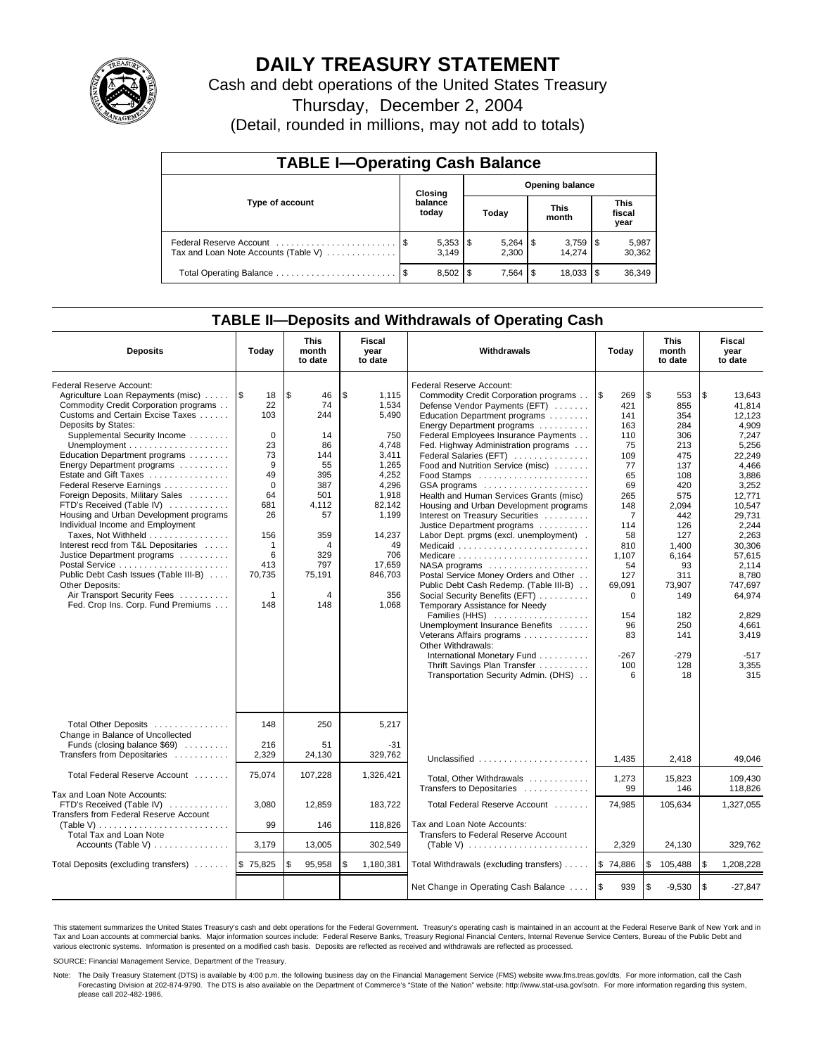

# **DAILY TREASURY STATEMENT**

Cash and debt operations of the United States Treasury

Thursday, December 2, 2004

(Detail, rounded in millions, may not add to totals)

| <b>TABLE I-Operating Cash Balance</b>                           |                  |                                   |      |       |  |                      |                               |                 |  |  |
|-----------------------------------------------------------------|------------------|-----------------------------------|------|-------|--|----------------------|-------------------------------|-----------------|--|--|
|                                                                 |                  | <b>Opening balance</b><br>Closing |      |       |  |                      |                               |                 |  |  |
| Type of account                                                 | balance<br>today |                                   |      | Today |  | <b>This</b><br>month | <b>This</b><br>fiscal<br>year |                 |  |  |
| Federal Reserve Account<br>Tax and Loan Note Accounts (Table V) |                  | $5,353$ $\frac{1}{3}$<br>3.149    |      | 2.300 |  | 14.274               |                               | 5,987<br>30,362 |  |  |
|                                                                 | - \$             | 8,502                             | - \$ |       |  | 18,033               | 1\$                           | 36,349          |  |  |

### **TABLE II—Deposits and Withdrawals of Operating Cash**

| <b>Deposits</b>                                                                                                                                                                                                                                                                                                                                                                                                                                                                                                                                                                                                                                                                                                                                           | Today                                                                                                                                                              | <b>This</b><br>month<br>to date                                                                                                    | Fiscal<br>year<br>to date                                                                                                                                                 | Withdrawals<br>Today                                                                                                                                                                                                                                                                                                                                                                                                                                                                                                                                                                                                                                                                                                                                                                                                                                                                                                                                                                     |                                                                                                                                                                                                                     | <b>This</b><br>month<br>to date                                                                                                                                                                           | Fiscal<br>year<br>to date                                                                                                                                                                                                                                        |
|-----------------------------------------------------------------------------------------------------------------------------------------------------------------------------------------------------------------------------------------------------------------------------------------------------------------------------------------------------------------------------------------------------------------------------------------------------------------------------------------------------------------------------------------------------------------------------------------------------------------------------------------------------------------------------------------------------------------------------------------------------------|--------------------------------------------------------------------------------------------------------------------------------------------------------------------|------------------------------------------------------------------------------------------------------------------------------------|---------------------------------------------------------------------------------------------------------------------------------------------------------------------------|------------------------------------------------------------------------------------------------------------------------------------------------------------------------------------------------------------------------------------------------------------------------------------------------------------------------------------------------------------------------------------------------------------------------------------------------------------------------------------------------------------------------------------------------------------------------------------------------------------------------------------------------------------------------------------------------------------------------------------------------------------------------------------------------------------------------------------------------------------------------------------------------------------------------------------------------------------------------------------------|---------------------------------------------------------------------------------------------------------------------------------------------------------------------------------------------------------------------|-----------------------------------------------------------------------------------------------------------------------------------------------------------------------------------------------------------|------------------------------------------------------------------------------------------------------------------------------------------------------------------------------------------------------------------------------------------------------------------|
| Federal Reserve Account:<br>Agriculture Loan Repayments (misc)<br>Commodity Credit Corporation programs<br>Customs and Certain Excise Taxes<br>Deposits by States:<br>Supplemental Security Income<br>Unemployment $\dots\dots\dots\dots\dots\dots\dots$<br>Education Department programs<br>Energy Department programs<br>Estate and Gift Taxes<br>Federal Reserve Earnings<br>Foreign Deposits, Military Sales<br>FTD's Received (Table IV)<br>Housing and Urban Development programs<br>Individual Income and Employment<br>Taxes, Not Withheld<br>Interest recd from T&L Depositaries<br>Justice Department programs<br>Public Debt Cash Issues (Table III-B)<br>Other Deposits:<br>Air Transport Security Fees<br>Fed. Crop Ins. Corp. Fund Premiums | 1\$<br>18<br>22<br>103<br>$\mathbf 0$<br>23<br>73<br>9<br>49<br>$\mathbf 0$<br>64<br>681<br>26<br>156<br>$\mathbf{1}$<br>6<br>413<br>70,735<br>$\mathbf{1}$<br>148 | \$<br>46<br>74<br>244<br>14<br>86<br>144<br>55<br>395<br>387<br>501<br>4,112<br>57<br>359<br>4<br>329<br>797<br>75,191<br>4<br>148 | \$<br>1,115<br>1.534<br>5.490<br>750<br>4,748<br>3,411<br>1,265<br>4,252<br>4,296<br>1,918<br>82,142<br>1,199<br>14,237<br>49<br>706<br>17,659<br>846,703<br>356<br>1,068 | Federal Reserve Account:<br>Commodity Credit Corporation programs<br>Defense Vendor Payments (EFT)<br>Education Department programs<br>Energy Department programs<br>Federal Employees Insurance Payments<br>Fed. Highway Administration programs<br>Federal Salaries (EFT)<br>Food and Nutrition Service (misc)<br>GSA programs<br>Health and Human Services Grants (misc)<br>Housing and Urban Development programs<br>Interest on Treasury Securities<br>Justice Department programs<br>Labor Dept. prgms (excl. unemployment).<br>Medicaid<br>Medicare<br>$NASA$ programs $\ldots \ldots \ldots \ldots \ldots$<br>Postal Service Money Orders and Other<br>Public Debt Cash Redemp. (Table III-B)<br>Social Security Benefits (EFT)<br>Temporary Assistance for Needy<br>Families (HHS)<br>Unemployment Insurance Benefits<br>Veterans Affairs programs<br>Other Withdrawals:<br>International Monetary Fund<br>Thrift Savings Plan Transfer<br>Transportation Security Admin. (DHS) | <b>S</b><br>269<br>421<br>141<br>163<br>110<br>75<br>109<br>77<br>65<br>69<br>265<br>148<br>$\overline{7}$<br>114<br>58<br>810<br>1,107<br>54<br>127<br>69,091<br>$\Omega$<br>154<br>96<br>83<br>$-267$<br>100<br>6 | \$<br>553<br>855<br>354<br>284<br>306<br>213<br>475<br>137<br>108<br>420<br>575<br>2,094<br>442<br>126<br>127<br>1,400<br>6,164<br>93<br>311<br>73.907<br>149<br>182<br>250<br>141<br>$-279$<br>128<br>18 | \$<br>13,643<br>41.814<br>12.123<br>4,909<br>7,247<br>5,256<br>22,249<br>4,466<br>3.886<br>3,252<br>12,771<br>10,547<br>29.731<br>2.244<br>2.263<br>30.306<br>57,615<br>2,114<br>8,780<br>747.697<br>64,974<br>2.829<br>4,661<br>3,419<br>$-517$<br>3,355<br>315 |
| Total Other Deposits<br>Change in Balance of Uncollected<br>Funds (closing balance \$69)<br>Transfers from Depositaries                                                                                                                                                                                                                                                                                                                                                                                                                                                                                                                                                                                                                                   | 148<br>216<br>2,329                                                                                                                                                | 250<br>51<br>24,130                                                                                                                | 5,217<br>$-31$<br>329,762                                                                                                                                                 | Unclassified                                                                                                                                                                                                                                                                                                                                                                                                                                                                                                                                                                                                                                                                                                                                                                                                                                                                                                                                                                             | 1.435                                                                                                                                                                                                               | 2,418                                                                                                                                                                                                     | 49.046                                                                                                                                                                                                                                                           |
| Total Federal Reserve Account                                                                                                                                                                                                                                                                                                                                                                                                                                                                                                                                                                                                                                                                                                                             | 75,074                                                                                                                                                             | 107,228                                                                                                                            | 1,326,421                                                                                                                                                                 | Total, Other Withdrawals                                                                                                                                                                                                                                                                                                                                                                                                                                                                                                                                                                                                                                                                                                                                                                                                                                                                                                                                                                 | 1,273                                                                                                                                                                                                               | 15,823                                                                                                                                                                                                    | 109,430                                                                                                                                                                                                                                                          |
| Tax and Loan Note Accounts:<br>FTD's Received (Table IV)<br>Transfers from Federal Reserve Account<br>(Table V) $\ldots \ldots \ldots \ldots \ldots \ldots \ldots \ldots$                                                                                                                                                                                                                                                                                                                                                                                                                                                                                                                                                                                 | 3,080<br>99                                                                                                                                                        | 12,859<br>146                                                                                                                      | 183,722<br>118,826                                                                                                                                                        | Transfers to Depositaries<br>Total Federal Reserve Account<br>Tax and Loan Note Accounts:                                                                                                                                                                                                                                                                                                                                                                                                                                                                                                                                                                                                                                                                                                                                                                                                                                                                                                | 99<br>74,985                                                                                                                                                                                                        | 146<br>105,634                                                                                                                                                                                            | 118,826<br>1,327,055                                                                                                                                                                                                                                             |
| <b>Total Tax and Loan Note</b><br>Accounts (Table V)                                                                                                                                                                                                                                                                                                                                                                                                                                                                                                                                                                                                                                                                                                      | 3,179                                                                                                                                                              | 13,005                                                                                                                             | 302,549                                                                                                                                                                   | Transfers to Federal Reserve Account                                                                                                                                                                                                                                                                                                                                                                                                                                                                                                                                                                                                                                                                                                                                                                                                                                                                                                                                                     | 2,329                                                                                                                                                                                                               | 24,130                                                                                                                                                                                                    | 329,762                                                                                                                                                                                                                                                          |
| Total Deposits (excluding transfers)                                                                                                                                                                                                                                                                                                                                                                                                                                                                                                                                                                                                                                                                                                                      | \$75,825                                                                                                                                                           | 95,958<br>\$                                                                                                                       | \$<br>1,180,381                                                                                                                                                           | Total Withdrawals (excluding transfers)                                                                                                                                                                                                                                                                                                                                                                                                                                                                                                                                                                                                                                                                                                                                                                                                                                                                                                                                                  | \$74,886                                                                                                                                                                                                            | \$<br>105,488                                                                                                                                                                                             | l \$<br>1,208,228                                                                                                                                                                                                                                                |
|                                                                                                                                                                                                                                                                                                                                                                                                                                                                                                                                                                                                                                                                                                                                                           |                                                                                                                                                                    |                                                                                                                                    |                                                                                                                                                                           | Net Change in Operating Cash Balance                                                                                                                                                                                                                                                                                                                                                                                                                                                                                                                                                                                                                                                                                                                                                                                                                                                                                                                                                     | l \$<br>939                                                                                                                                                                                                         | \$<br>$-9,530$                                                                                                                                                                                            | l \$<br>$-27,847$                                                                                                                                                                                                                                                |

This statement summarizes the United States Treasury's cash and debt operations for the Federal Government. Treasury's operating cash is maintained in an account at the Federal Reserve Bank of New York and in Tax and Loan accounts at commercial banks. Major information sources include: Federal Reserve Banks, Treasury Regional Financial Centers, Internal Revenue Service Centers, Bureau of the Public Debt and<br>various electronic s

SOURCE: Financial Management Service, Department of the Treasury.

Note: The Daily Treasury Statement (DTS) is available by 4:00 p.m. the following business day on the Financial Management Service (FMS) website www.fms.treas.gov/dts. For more information, call the Cash Forecasting Division at 202-874-9790. The DTS is also available on the Department of Commerce's "State of the Nation" website: http://www.stat-usa.gov/sotn. For more information regarding this system, please call 202-482-1986.